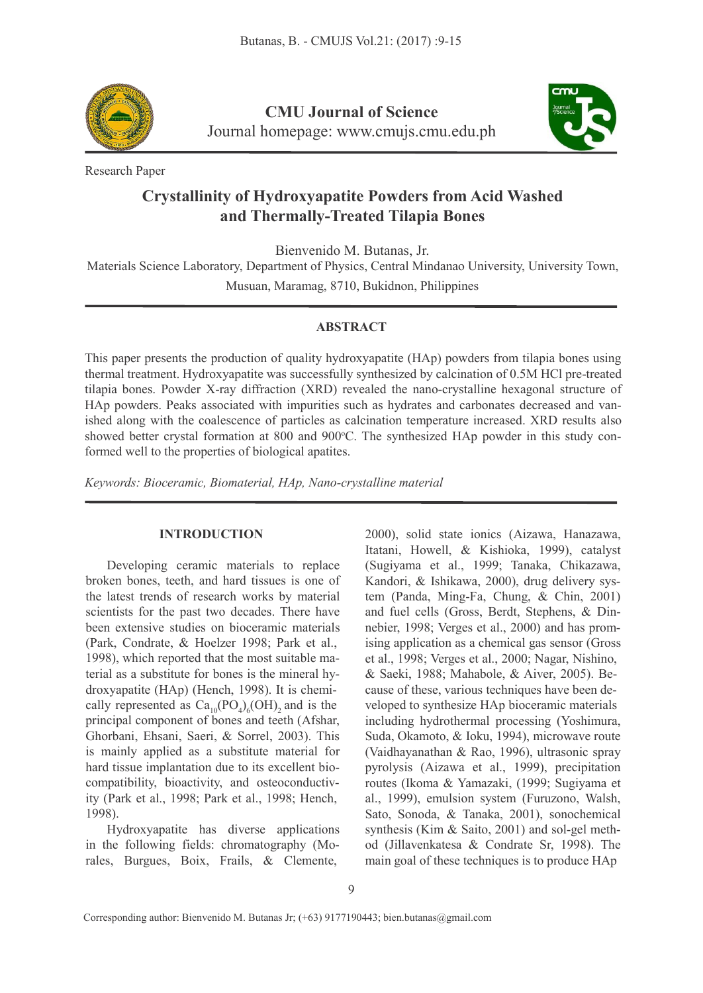

**CMU Journal of Science** Journal homepage: [www.cmujs.cmu.edu.ph](http://www.cmujs.cmu.edu.ph)



Research Paper

# **Crystallinity of Hydroxyapatite Powders from Acid Washed and Thermally-Treated Tilapia Bones**

Bienvenido M. Butanas, Jr.

Materials Science Laboratory, Department of Physics, Central Mindanao University, University Town, Musuan, Maramag, 8710, Bukidnon, Philippines

#### **ABSTRACT**

This paper presents the production of quality hydroxyapatite (HAp) powders from tilapia bones using thermal treatment. Hydroxyapatite was successfully synthesized by calcination of 0.5M HCl pre-treated tilapia bones. Powder X-ray diffraction (XRD) revealed the nano-crystalline hexagonal structure of HAp powders. Peaks associated with impurities such as hydrates and carbonates decreased and vanished along with the coalescence of particles as calcination temperature increased. XRD results also showed better crystal formation at 800 and 900°C. The synthesized HAp powder in this study conformed well to the properties of biological apatites.

*Keywords: Bioceramic, Biomaterial, HAp, Nano-crystalline material*

# **INTRODUCTION**

Developing ceramic materials to replace broken bones, teeth, and hard tissues is one of the latest trends of research works by material scientists for the past two decades. There have been extensive studies on bioceramic materials (Park, Condrate, & Hoelzer 1998; Park et al., 1998), which reported that the most suitable material as a substitute for bones is the mineral hy droxyapatite (HAp) (Hench, 1998). It is chemiprincipal component of bones and teeth (Afshar, Ghorbani, Ehsani, Saeri, & Sorrel, 2003). This is mainly applied as a substitute material for hard tissue implantation due to its excellent bio compatibility, bioactivity, and osteoconductivity (Park et al., 1998; Park et al., 1998; Hench, 1998).

Hydroxyapatite has diverse applications in the following fields: chromatography (Morales, Burgues, Boix, Frails, & Clemente,

cally represented as  $Ca_{10}(PO_4)_6(OH)_2$  and is the veloped to synthesize HAp bioceramic materials 2000), solid state ionics (Aizawa, Hanazawa, Itatani, Howell, & Kishioka, 1999), catalyst (Sugiyama et al., 1999; Tanaka, Chikazawa, Kandori, & Ishikawa, 2000), drug delivery system (Panda, Ming-Fa, Chung, & Chin, 2001) and fuel cells (Gross, Berdt, Stephens, & Din nebier, 1998; Verges et al., 2000) and has promising application as a chemical gas sensor (Gross et al., 1998; Verges et al., 2000; Nagar, Nishino, & Saeki, 1988; Mahabole,& Aiver, 2005). Be cause of these, various techniques have been deincluding hydrothermal processing (Yoshimura, Suda, Okamoto, & Ioku, 1994), microwave route (Vaidhayanathan & Rao, 1996), ultrasonic spray pyrolysis (Aizawa et al., 1999), precipitation routes (Ikoma & Yamazaki, (1999; Sugiyama et al., 1999), emulsion system (Furuzono, Walsh, Sato, Sonoda, & Tanaka, 2001), sonochemical synthesis (Kim & Saito, 2001) and sol-gel meth od (Jillavenkatesa & Condrate Sr, 1998). The main goal of these techniques is to produce HAp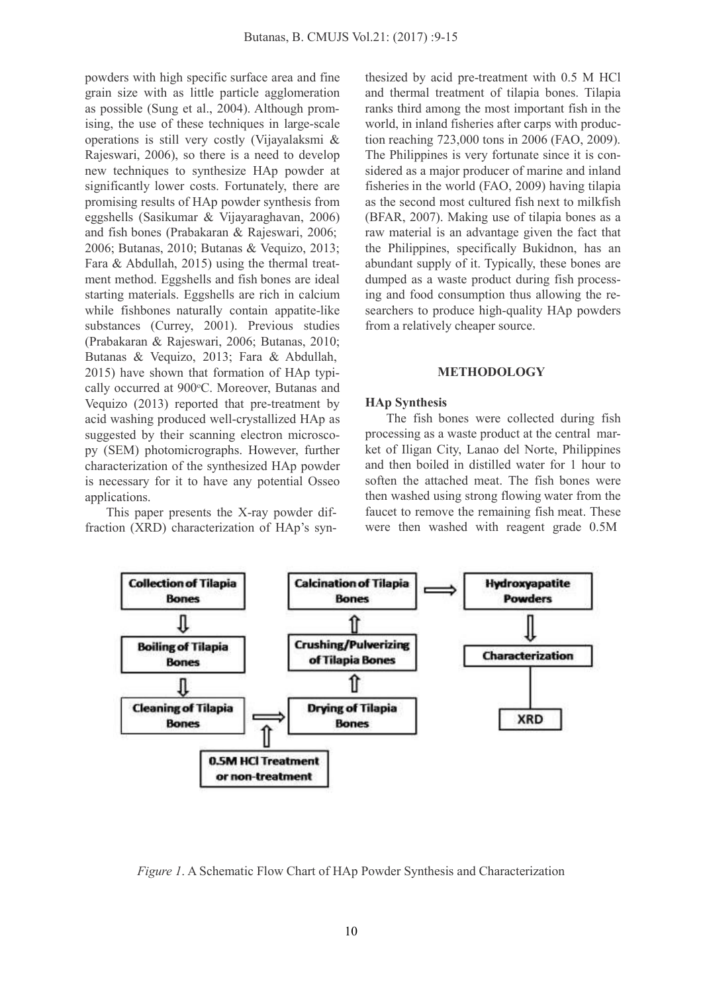powders with high specific surface area and fine grain size with as little particle agglomeration as possible (Sung et al., 2004). Although promising, the use of these techniques in large-scale operations is still very costly (Vijayalaksmi & Rajeswari, 2006), so there is a need to develop new techniques to synthesize HAp powder at significantly lower costs. Fortunately, there are promising results ofHAp powder synthesis from eggshells (Sasikumar & Vijayaraghavan, 2006) and fish bones (Prabakaran & Rajeswari, 2006; 2006; Butanas, 2010; Butanas & Vequizo, 2013; Fara & Abdullah, 2015) using the thermal treat ment method. Eggshells and fish bones are ideal starting materials. Eggshells are rich in calcium while fishbones naturally contain appatite-like substances (Currey, 2001). Previous studies (Prabakaran & Rajeswari, 2006; Butanas, 2010; Butanas & Vequizo, 2013; Fara & Abdullah, 2015) have shown that formation of HAp typi cally occurred at 900°C. Moreover, Butanas and Vequizo  $(2013)$  reported that pre-treatment by acid washing produced well-crystallized HAp as suggested by their scanning electron microsco py (SEM) photomicrographs. However, further characterization of the synthesized HAp powder is necessary for it to have any potential Osseo applications.

This paper presents the X-ray powder diffraction (XRD) characterization of HAp's synthesized by acid pre-treatment with 0.5 M HCl and thermal treatment of tilapia bones. Tilapia ranks third among the most important fish in the world, in inland fisheries after carps with production reaching 723,000 tons in 2006 (FAO, 2009). The Philippines is very fortunate since it is con sidered as a major producer of marine and inland fisheries in the world (FAO, 2009) having tilapia as the second most cultured fish next to milkfish (BFAR, 2007). Making use of tilapia bones as a raw material is an advantage given the fact that the Philippines, specifically Bukidnon, has an abundant supply of it. Typically, these bones are dumped as a waste product during fish processing and food consumption thus allowing the re searchers to produce high-quality HAp powders from a relatively cheaper source.

## **METHODOLOGY**

#### **HAp Synthesis**

The fish bones were collected during fish processing as a waste product at the central mar ket of Iligan City, Lanao del Norte, Philippines and then boiled in distilled water for 1 hour to soften the attached meat. The fish bones were then washed using strong flowing water from the faucet to remove the remaining fish meat. These were then washed with reagent grade 0.5M



*Figure 1*. A Schematic Flow Chart of HAp Powder Synthesis and Characterization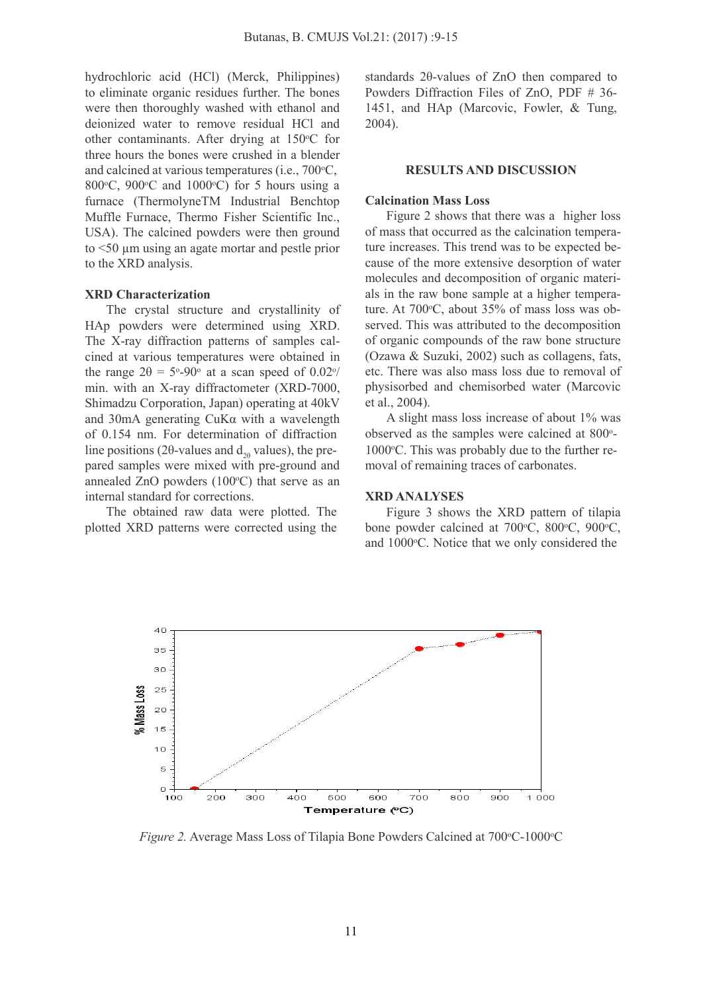hydrochloric acid (HCl) (Merck, Philippines) to eliminate organic residues further. The bones were then thoroughly washed with ethanol and deionized water to remove residual HCl and other contaminants. After drying at  $150^{\circ}$ C for three hours the bones were crushed in a blender and calcined at various temperatures (i.e.,  $700\textdegree\text{C}$ , RESUI 800 $\degree$ C, 900 $\degree$ C and 1000 $\degree$ C) for 5 hours using a furnace (ThermolyneTM Industrial Benchtop Muffle Furnace, Thermo Fisher Scientific Inc., USA). The calcined powders were then ground to <50 µm using an agate mortar and pestle prior to the XRD analysis.

#### **XRD Characterization**

line positions (2θ-values and  $d_{2\theta}$  values), the pre-  $1000^{\circ}$ C. This was probably d The crystal structure and crystallinity of HAp powders were determined using XRD. The X-ray diffraction patterns of samples cal cined at various temperatures were obtained in the range  $2\theta = 5^{\circ}$ -90° at a scan speed of 0.02°/ etc. There was al min. with an X-ray diffractometer (XRD-7000, Shimadzu Corporation, Japan) operating at 40kV and 30mA generating CuKα with a wavelength of 0.154 nm. For determination of diffraction pared samples were mixed with pre-ground and annealed  $ZnO$  powders  $(100^{\circ}C)$  that serve as an internal standard for corrections.

The obtained raw data were plotted. The plotted XRD patterns were corrected using the standards 2θ-values of ZnO then compared to Powders Diffraction Files of ZnO, PDF # 36- 1451, and HAp (Marcovic, Fowler, & Tung, 2004).

## **RESULTS AND DISCUSSION**

# **Calcination Mass Loss**

<sup>o</sup>/ etc. There was also mass loss due to removal of Figure 2 shows that there was a higher loss of mass that occurred as the calcination temperature increases. This trend was to be expected be cause of the more extensive desorption of water molecules and decomposition of organic materi als in the raw bone sample at a higher temperature. At  $700^{\circ}$ C, about  $35\%$  of mass loss was observed. This was attributed to the decomposition of organic compounds of the raw bone structure (Ozawa & Suzuki, 2002) such as collagens, fats, physisorbed and chemisorbed water (Marcovic et al., 2004).

A slight mass loss increase of about 1% was observed as the samples were calcined at 800°- $1000^{\circ}$ C. This was probably due to the further removal of remaining traces of carbonates.

#### **XRD ANALYSES**

Figure 3 shows the XRD pattern of tilapia bone powder calcined at 700°C, 800°C, 900°C, and 1000°C. Notice that we only considered the



Figure 2. Average Mass Loss of Tilapia Bone Powders Calcined at 700°C-1000°C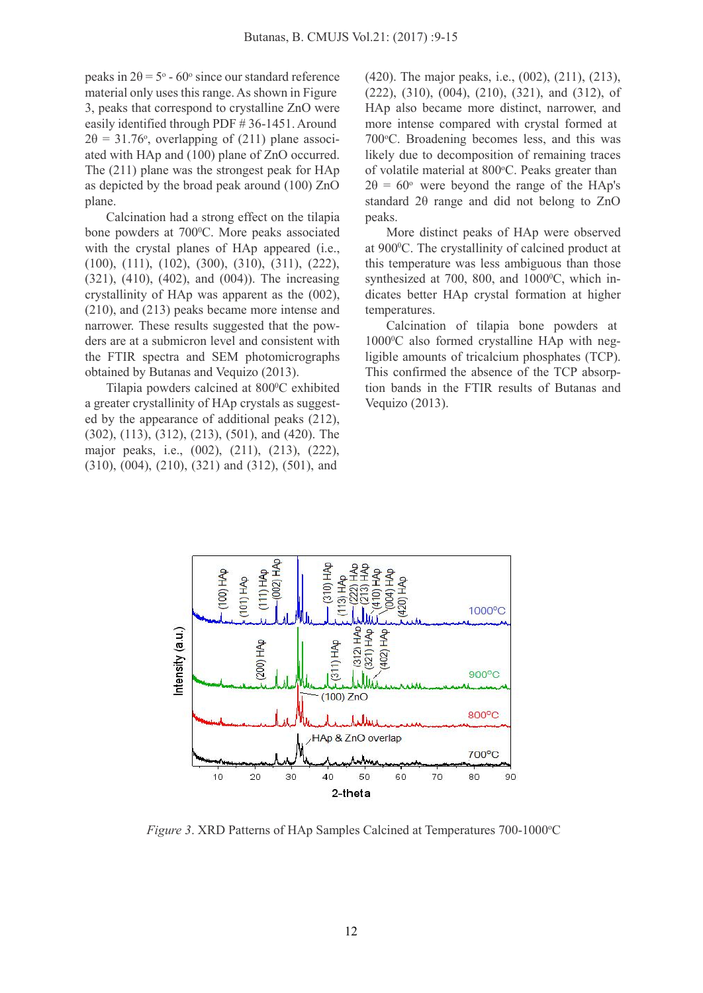peaks in  $2\theta = 5^{\circ}$  - 60° since our standard reference (420). The majo material only uses this range. As shown in Figure 3, peaks that correspond to crystalline ZnO were easily identified through PDF # 36-1451. Around  $2\theta = 31.76$ °, overlapping of (211) plane associ- 700 °C. Bro ated with HAp and (100) plane of ZnO occurred. The (211) plane was the strongest peak for HAp as depicted by the broad peak around (100) ZnO plane.

Calcination had a strong effect on the tilapia bone powders at 700°C. More peaks associated More distinct with the crystal planes of HAp appeared (i.e., (100), (111), (102), (300), (310), (311), (222), (321), (410), (402), and (004)). The increasing crystallinity of HAp was apparent as the (002), (210), and (213) peaks became more intense and narrower. These results suggested that the pow ders are at a submicron level and consistent with the FTIR spectra and SEM photomicrographs obtained by Butanas and Vequizo (2013).

Tilapia powders calcined at 800°C exhibited a greater crystallinity of HAp crystals as suggest ed by the appearance of additional peaks (212), (302), (113), (312), (213), (501), and (420). The major peaks, i.e., (002), (211), (213), (222), (310), (004), (210), (321) and (312), (501), and

(420). The major peaks, i.e., (002), (211), (213), (222), (310), (004), (210), (321), and (312), of HAp also became more distinct, narrower, and more intense compared with crystal formed at 700 °C. Broadening becomes less, and this was likely due to decomposition of remaining traces of volatile material at 800°C. Peaks greater than  $2\theta = 60^{\circ}$  were beyond the range of the HAp's standard 2θ range and did not belong to ZnO peaks.

More distinct peaks of HAp were observed at 900 <sup>0</sup>C. The crystallinity of calcined product at this temperature was less ambiguous than those synthesized at 700, 800, and 1000<sup>o</sup>C, which indicates better HAp crystal formation at higher temperatures.

<sup>0</sup>C exhibited tion bands in the FTIR results of Butanas and Calcination of tilapia bone powders at 1000 <sup>0</sup>C also formed crystalline HAp with negligible amounts of tricalcium phosphates (TCP). This confirmed the absence of the TCP absorp-Vequizo (2013).



*Figure* 3. XRD Patterns of HAp Samples Calcined at Temperatures 700-1000°C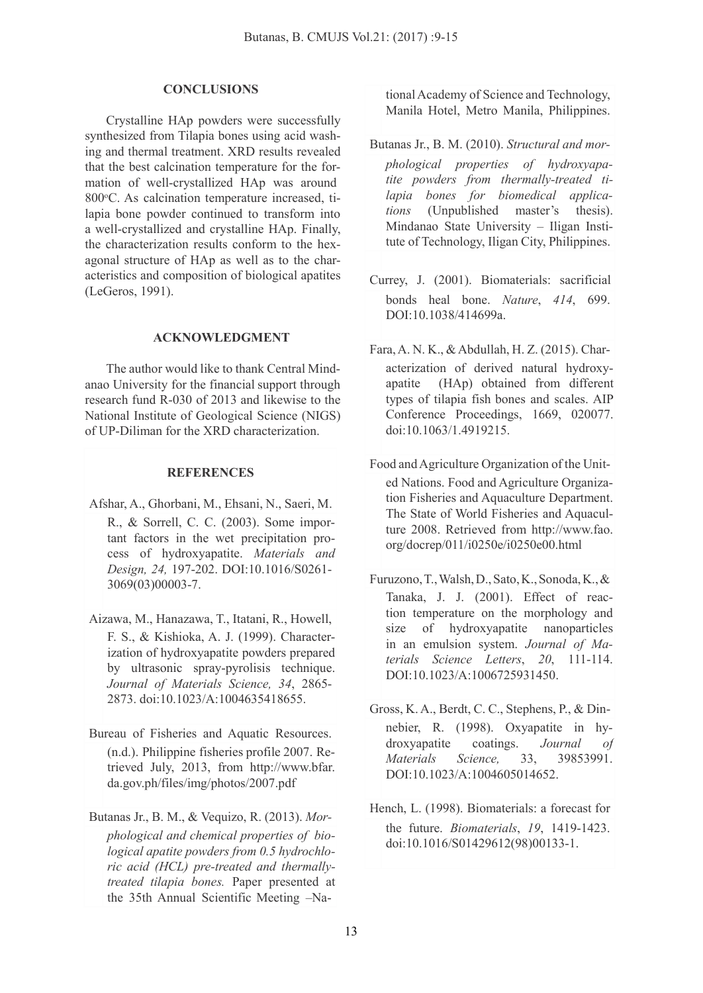#### **CONCLUSIONS**

Crystalline HAp powders were successfully synthesized from Tilapia bones using acid washing and thermal treatment. XRD results revealed that the best calcination temperature for the for mation of well-crystallized HAp was around 800°C. As calcination temperature increased, tilapia bone powder continued to transform into a well-crystallized and crystalline HAp. Finally, the characterization results conform to the hex agonal structure of HAp as well as to the char acteristics and composition of biological apatites (LeGeros, 1991).

## **ACKNOWLEDGMENT**

The author would like to thank Central Mind anao University for the financial support through research fund R-030 of 2013 and likewise to the National Institute of Geological Science (NIGS) of UP-Diliman for the XRD characterization.

## **REFERENCES**

- Afshar, A., Ghorbani, M., Ehsani, N., Saeri, M. R., & Sorrell, C. C. (2003). Some important factors in the wet precipitation pro cess of hydroxyapatite. *Materials and Design, 24,* 197-202. DOI:10.1016/S0261- 3069(03)00003-7.
- Aizawa, M., Hanazawa, T., Itatani, R., Howell, F. S., & Kishioka, A. J. (1999). Characterization of hydroxyapatite powders prepared by ultrasonic spray-pyrolisis technique. *Journal of Materials Science, 34*, 2865- 2873. doi:10.1023/A:1004635418655.
- Bureau of Fisheries and Aquatic Resources. (n.d.). Philippine fisheries profile 2007. Retrieved July, 2013, from [http://www.bfa](http://www.bfar)r. da.gov.ph/files/img/photos/2007.pdf
- Butanas Jr., B. M., & Vequizo, R. (2013). *Mor phological and chemical properties of biological apatite powders from 0.5 hydrochlo ric acid (HCL) pre-treated and thermallytreated tilapia bones.* Paper presented at the 35th Annual Scientific Meeting –Na-

tional Academy of Science and Technology, Manila Hotel, Metro Manila, Philippines.

- Butanas Jr., B. M. (2010). *Structural and mor phological properties of hydroxyapatite powders from thermally-treated tilapia bones for biomedical applications* (Unpublished master's thesis). Mindanao State University – Iligan Institute of Technology, Iligan City, Philippines.
- Currey, J. (2001). Biomaterials: sacrificial bonds heal bone. *Nature*, *414*, 699. DOI:10.1038/414699a.
- Fara,A. N. K., &Abdullah, H. Z. (2015). Char acterization of derived natural hydroxy apatite (HAp) obtained from different types of tilapia fish bones and scales. AIP Conference Proceedings, 1669, 020077. doi:10.1063/1.4919215.
- Food andAgriculture Organization of the Unit ed Nations. Food and Agriculture Organization Fisheries and Aquaculture Department. The State of World Fisheries and Aquaculture 2008. Retrieved from [http://www.fao.](http://www.fao) org/docrep/011/i0250e/i0250e00.html
- Furuzono,T.,Walsh,D.,Sato,K.,Sonoda,K.,& Tanaka, J. J. (2001). Effect of reaction temperature on the morphology and size of hydroxyapatite nanoparticles in an emulsion system. *Journal of Materials Science Letters*, *20*, 111-114. DOI:10.1023/A:1006725931450.
- Gross, K.A., Berdt, C. C., Stephens, P., & Din nebier, R. (1998). Oxyapatite in hy droxyapatite coatings. *Journal of Materials Science,* 33, 39853991. DOI:10.1023/A:1004605014652.
- Hench, L. (1998). Biomaterials: a forecast for the future. *Biomaterials*, *19*, 1419-1423. doi:10.1016/S01429612(98)00133-1.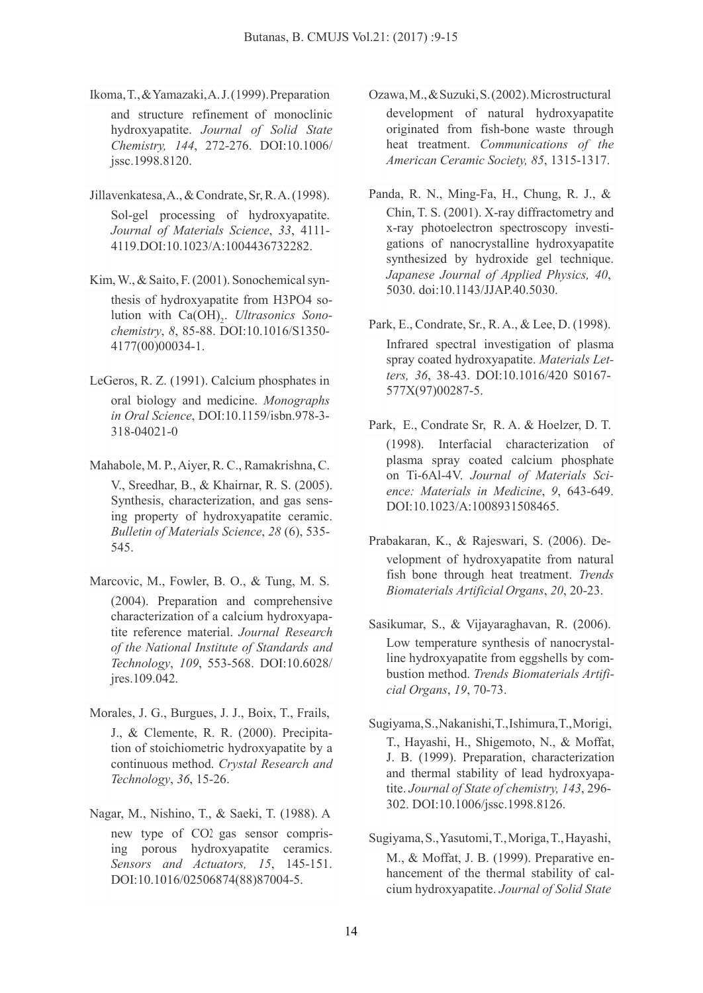Ikoma,T.,&Yamazaki,A.J.(1999).Preparation

and structure refinement of monoclinic hydroxyapatite. *Journal of Solid State Chemistry, 144*, 272-276. DOI:10.1006/ jssc.1998.8120.

- Jillavenkatesa,A.,&Condrate,Sr,R.A.(1998). Sol-gel processing of hydroxyapatite. *Journal of Materials Science*, *33*, 4111- 4119.DOI:10.1023/A:1004436732282.
- Kim, W., & Saito, F. (2001). Sonochemical synthesis of hydroxyapatite from H3PO4 solution with  $Ca(OH)_{2}$ . *Ultrasonics Sonochemistry*, *8*, 85-88. DOI:10.1016/S1350- 4177(00)00034-1.
- LeGeros, R. Z. (1991). Calcium phosphates in oral biology and medicine. *Monographs in Oral Science*, DOI:10.1159/isbn.978-3- 318-04021-0
- Mahabole, M. P.,Aiyer, R. C., Ramakrishna,C. V., Sreedhar, B., & Khairnar, R. S. (2005). Synthesis, characterization, and gas sensing property of hydroxyapatite ceramic. *Bulletin of Materials Science*, *28* (6), 535- 545.
- Marcovic, M., Fowler, B. O., & Tung, M. S. (2004). Preparation and comprehensive characterization of a calcium hydroxyapatite reference material. *Journal Research of the National Institute of Standards and Technology*, *109*, 553-568. DOI:10.6028/ jres.109.042.
- Morales, J. G., Burgues, J. J., Boix, T., Frails, J., & Clemente, R. R. (2000). Precipitation of stoichiometric hydroxyapatite by a continuous method. *Crystal Research and Technology*, *36*, 15-26.
- Nagar, M., Nishino, T., & Saeki, T. (1988). A new type of CO2 gas sensor comprising porous hydroxyapatite ceramics. DOI:10.1016/02506874(88)87004-5.
- Ozawa,M.,&Suzuki,S.(2002).Microstructural development of natural hydroxyapatite originated from fish-bone waste through heat treatment. *Communications of the American Ceramic Society, 85*, 1315-1317.
- Panda, R. N., Ming-Fa, H., Chung, R. J., & Chin, T. S. (2001). X-ray diffractometry and x-ray photoelectron spectroscopy investi gations of nanocrystalline hydroxyapatite synthesized by hydroxide gel technique. *Japanese Journal of Applied Physics, 40*, 5030. doi:10.1143/JJAP.40.5030.
- Park, E., Condrate, Sr., R.A., & Lee, D. (1998). Infrared spectral investigation of plasma spray coated hydroxyapatite. *Materials Letters, 36*, 38-43. DOI:10.1016/420 S0167- 577X(97)00287-5.
- Park, E., Condrate Sr, R. A. & Hoelzer, D. T. (1998). Interfacial characterization of plasma spray coated calcium phosphate on Ti-6Al-4V. *Journal of Materials Sci ence: Materials in Medicine*, *9*, 643-649. DOI:10.1023/A:1008931508465.
- Prabakaran, K., & Rajeswari, S. (2006). De velopment of hydroxyapatite from natural fish bone through heat treatment. *Trends Biomaterials Artificial Organs*, *20*, 20-23.
- Sasikumar, S., & Vijayaraghavan, R. (2006). Low temperature synthesis of nanocrystalline hydroxyapatite from eggshells by combustion method. *Trends Biomaterials Artifi cial Organs*, *19*, 70-73.
- Sugiyama,S.,Nakanishi,T.,Ishimura,T.,Morigi, T., Hayashi, H., Shigemoto, N., & Moffat, J. B. (1999). Preparation, characterization and thermal stability of lead hydroxyapatite. *Journal of State of chemistry, 143*, 296- 302. DOI:10.1006/jssc.1998.8126.

Sugiyama,S.,Yasutomi,T.,Moriga,T.,Hayashi,

*Sensors and Actuators,* 15, 145-151. M., & Monal, J. B. (1999). Preparative en-<br>hancement of the thermal stability of cal-<br>politic (0250697469)97004.5 M., & Moffat, J. B. (1999). Preparative en hancement of the thermal stability of cal-cium hydroxyapatite. *Journal of Solid State*